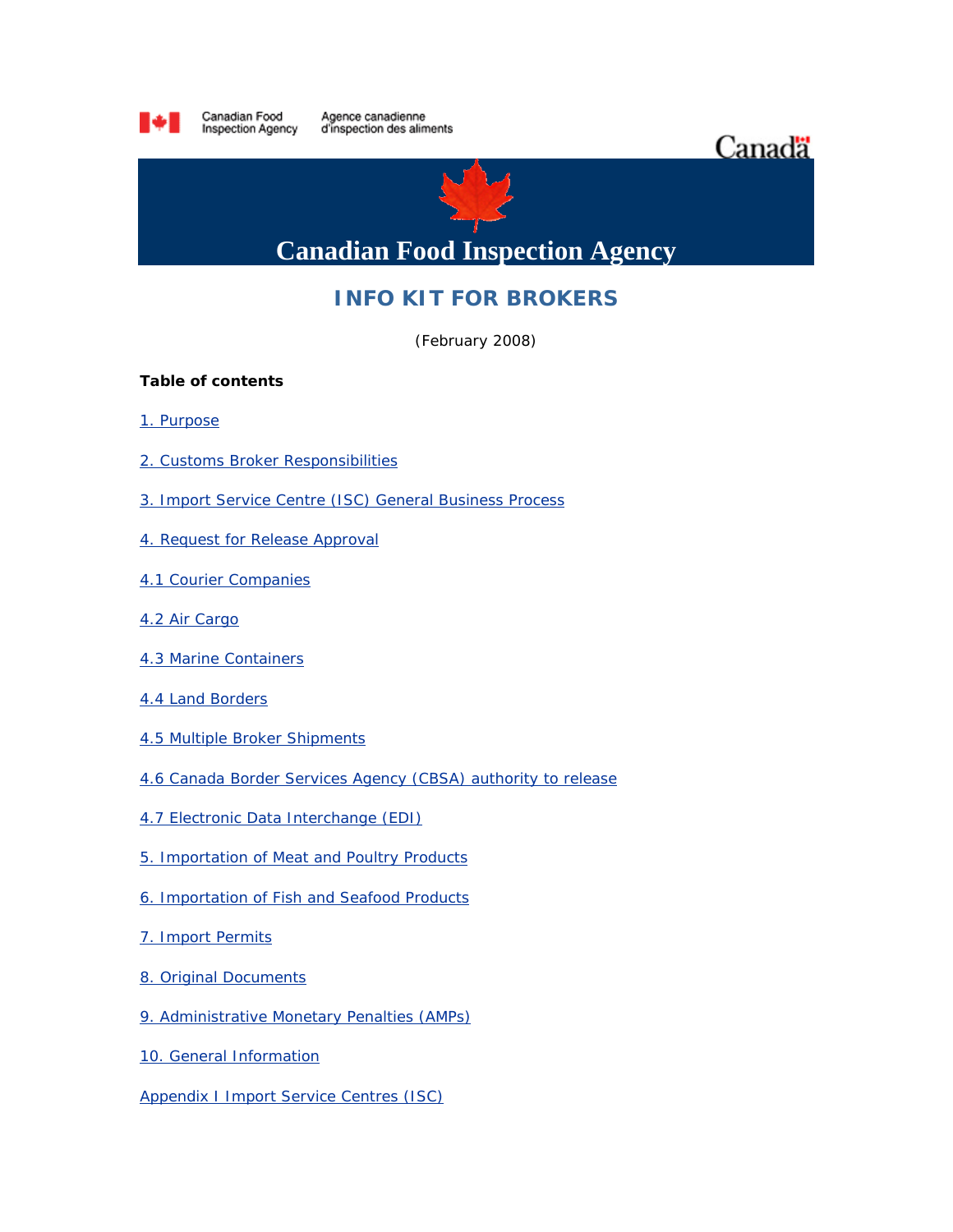

# **INFO KIT FOR BROKERS**

(February 2008)

### **Table of contents**

- [1. Purpose](http://www.inspection.gc.ca/english/imp/kite.shtml#1#1)
- [2. Customs Broker Responsibilities](http://www.inspection.gc.ca/english/imp/kite.shtml#2#2)
- [3. Import Service Centre \(ISC\) General Business Process](http://www.inspection.gc.ca/english/imp/kite.shtml#3#3)
- [4. Request for Release Approval](http://www.inspection.gc.ca/english/imp/kite.shtml#4#4)
- [4.1 Courier Companies](http://www.inspection.gc.ca/english/imp/kite.shtml#4.1#4.1)
- [4.2 Air Cargo](http://www.inspection.gc.ca/english/imp/kite.shtml#4.2#4.2)
- [4.3 Marine Containers](http://www.inspection.gc.ca/english/imp/kite.shtml#4.3#4.3)
- [4.4 Land Borders](http://www.inspection.gc.ca/english/imp/kite.shtml#4.4#4.4)
- [4.5 Multiple Broker Shipments](http://www.inspection.gc.ca/english/imp/kite.shtml#4.5#4.5)
- [4.6 Canada Border Services Agency \(CBSA\) authority to release](http://www.inspection.gc.ca/english/imp/kite.shtml#4.6#4.6)
- [4.7 Electronic Data Interchange \(EDI\)](http://www.inspection.gc.ca/english/imp/kite.shtml#4.7#4.7)
- [5. Importation of Meat and Poultry Products](http://www.inspection.gc.ca/english/imp/kite.shtml#5#5)
- [6. Importation of Fish and Seafood Products](http://www.inspection.gc.ca/english/imp/kite.shtml#6#6)
- [7. Import Permits](http://www.inspection.gc.ca/english/imp/kite.shtml#7#7)
- [8. Original Documents](http://www.inspection.gc.ca/english/imp/kite.shtml#8#8)
- [9. Administrative Monetary Penalties \(AMPs\)](http://www.inspection.gc.ca/english/imp/kite.shtml#9#9)
- [10. General Information](http://www.inspection.gc.ca/english/imp/kite.shtml#10#10)
- **[Appendix I Import Service Centres \(ISC\)](http://www.inspection.gc.ca/english/imp/kite.shtml#I#I)**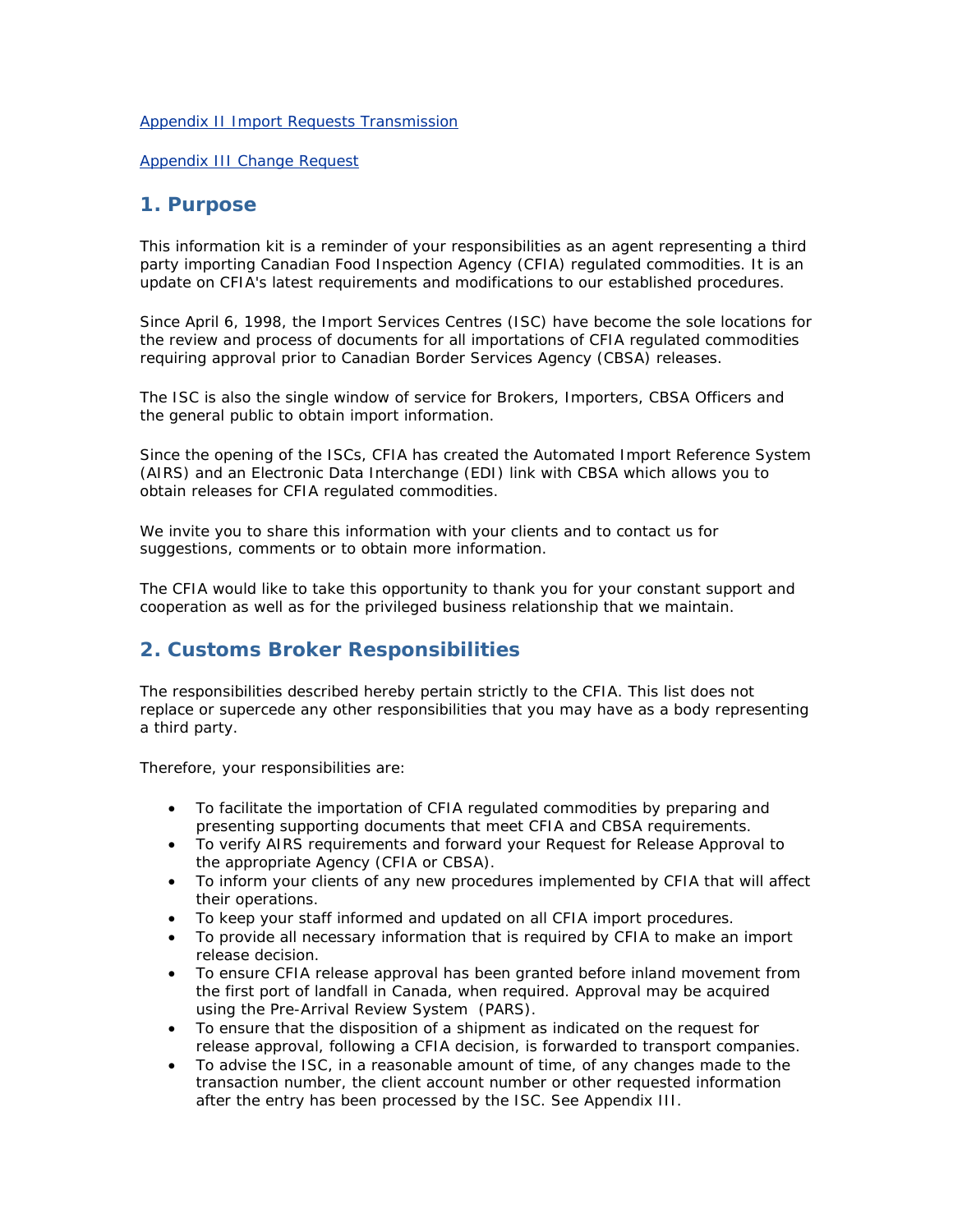#### [Appendix II Import Requests Transmission](http://www.inspection.gc.ca/english/imp/kite.shtml#II#II)

[Appendix III Change Request](http://www.inspection.gc.ca/english/imp/kite.shtml#III#III)

### **1. Purpose**

This information kit is a reminder of your responsibilities as an agent representing a third party importing Canadian Food Inspection Agency (CFIA) regulated commodities. It is an update on CFIA's latest requirements and modifications to our established procedures.

Since April 6, 1998, the Import Services Centres (ISC) have become the sole locations for the review and process of documents for all importations of CFIA regulated commodities requiring approval prior to Canadian Border Services Agency (CBSA) releases.

The ISC is also the single window of service for Brokers, Importers, CBSA Officers and the general public to obtain import information.

Since the opening of the ISCs, CFIA has created the Automated Import Reference System (AIRS) and an Electronic Data Interchange (EDI) link with CBSA which allows you to obtain releases for CFIA regulated commodities.

We invite you to share this information with your clients and to contact us for suggestions, comments or to obtain more information.

The CFIA would like to take this opportunity to thank you for your constant support and cooperation as well as for the privileged business relationship that we maintain.

## **2. Customs Broker Responsibilities**

The responsibilities described hereby pertain strictly to the CFIA. This list does not replace or supercede any other responsibilities that you may have as a body representing a third party.

Therefore, your responsibilities are:

- To facilitate the importation of CFIA regulated commodities by preparing and presenting supporting documents that meet CFIA and CBSA requirements.
- To verify AIRS requirements and forward your Request for Release Approval to the appropriate Agency (CFIA or CBSA).
- To inform your clients of any new procedures implemented by CFIA that will affect their operations.
- To keep your staff informed and updated on all CFIA import procedures.
- To provide all necessary information that is required by CFIA to make an import release decision.
- To ensure CFIA release approval has been granted before inland movement from the first port of landfall in Canada, when required. Approval may be acquired using the Pre-Arrival Review System (PARS).
- To ensure that the disposition of a shipment as indicated on the request for release approval, following a CFIA decision, is forwarded to transport companies.
- To advise the ISC, in a reasonable amount of time, of any changes made to the transaction number, the client account number or other requested information after the entry has been processed by the ISC. *See Appendix III.*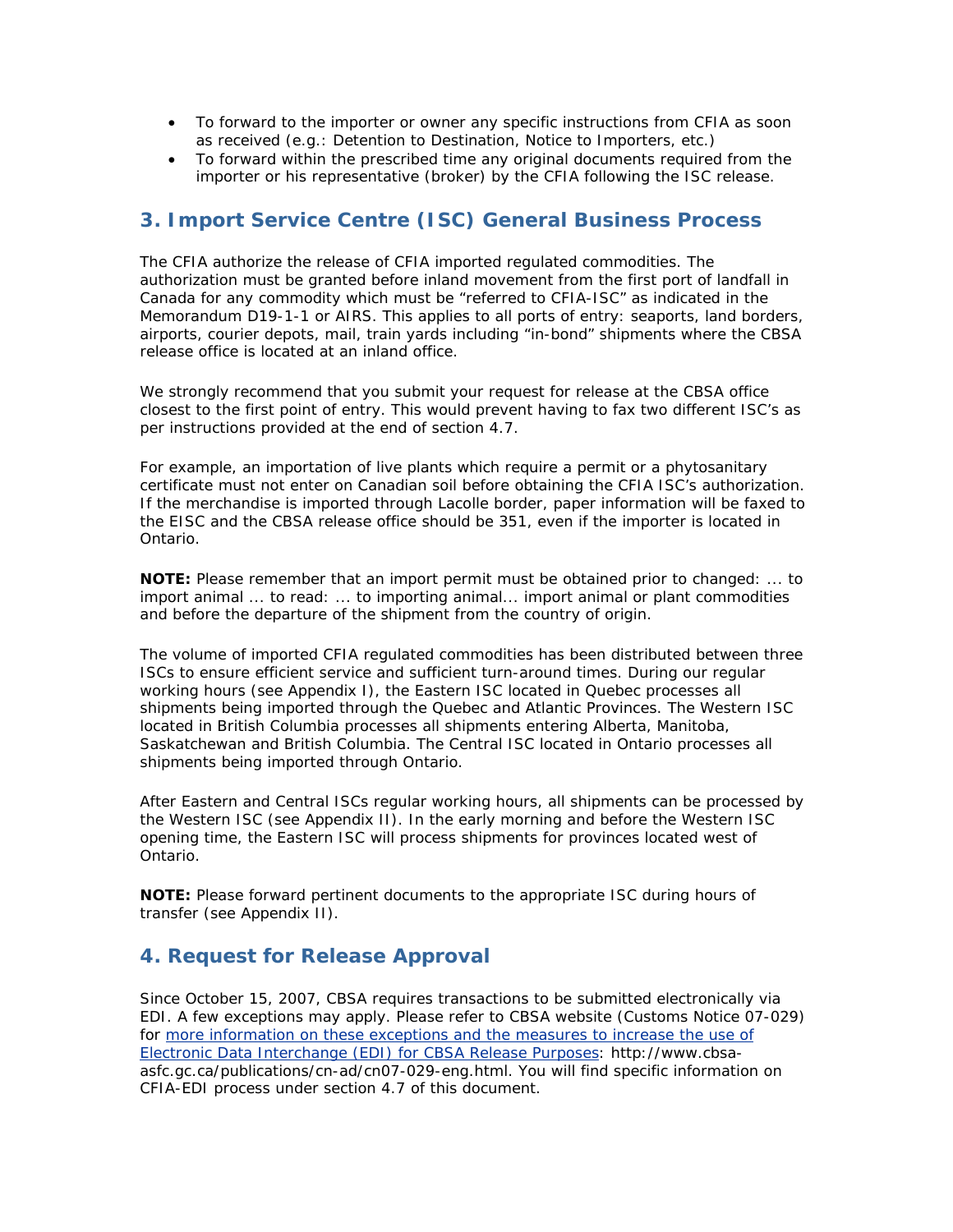- To forward to the importer or owner any specific instructions from CFIA as soon as received (e.g.: Detention to Destination, Notice to Importers, etc.)
- To forward within the prescribed time any original documents required from the importer or his representative (broker) by the CFIA following the ISC release.

## **3. Import Service Centre (ISC) General Business Process**

The CFIA authorize the release of CFIA imported regulated commodities. The authorization must be granted before inland movement from the first port of landfall in Canada for any commodity which must be "referred to CFIA-ISC" as indicated in the Memorandum D19-1-1 or AIRS. This applies to all ports of entry: seaports, land borders, airports, courier depots, mail, train yards including "in-bond" shipments where the CBSA release office is located at an inland office.

We strongly recommend that you submit your request for release at the CBSA office closest to the first point of entry. This would prevent having to fax two different ISC's as per instructions provided at the end of section 4.7.

For example, an importation of live plants which require a permit or a phytosanitary certificate must not enter on Canadian soil before obtaining the CFIA ISC's authorization. If the merchandise is imported through Lacolle border, paper information will be faxed to the EISC and the CBSA release office should be 351, even if the importer is located in Ontario.

**NOTE:** *Please remember that an import permit must be obtained prior to changed: ... to import animal ... to read: ... to importing animal... import animal or plant commodities and before the departure of the shipment from the country of origin.*

The volume of imported CFIA regulated commodities has been distributed between three ISCs to ensure efficient service and sufficient turn-around times. During our regular working hours (see Appendix I), the Eastern ISC located in Quebec processes all shipments being imported through the Quebec and Atlantic Provinces. The Western ISC located in British Columbia processes all shipments entering Alberta, Manitoba, Saskatchewan and British Columbia. The Central ISC located in Ontario processes all shipments being imported through Ontario.

After Eastern and Central ISCs regular working hours, all shipments can be processed by the Western ISC (see Appendix II). In the early morning and before the Western ISC opening time, the Eastern ISC will process shipments for provinces located west of Ontario.

**NOTE:** *Please forward pertinent documents to the appropriate ISC during hours of transfer (see Appendix II)*.

## **4. Request for Release Approval**

Since October 15, 2007, CBSA requires transactions to be submitted electronically via EDI. A few exceptions may apply. Please refer to CBSA website (Customs Notice 07-029) for [more information on these exceptions and the measures to increase the use of](http://active.inspection.gc.ca/tech/extsite.asp?url=http://www.cbsa-asfc.gc.ca/publications/cn-ad/cn07-029-eng.html)  [Electronic Data Interchange \(EDI\) for CBSA Release Purposes](http://active.inspection.gc.ca/tech/extsite.asp?url=http://www.cbsa-asfc.gc.ca/publications/cn-ad/cn07-029-eng.html): http://www.cbsaasfc.gc.ca/publications/cn-ad/cn07-029-eng.html. You will find specific information on CFIA-EDI process under section 4.7 of this document.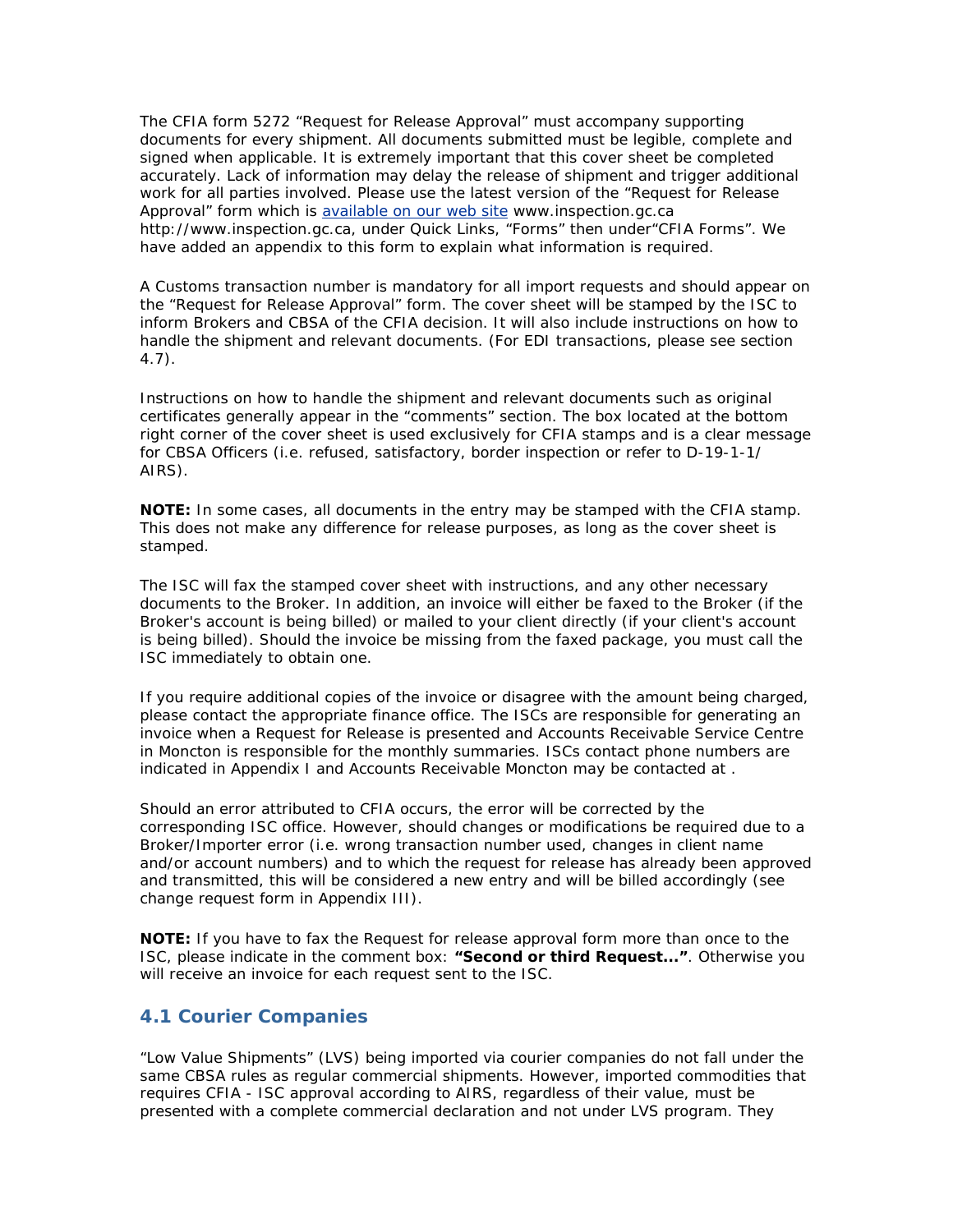The CFIA form 5272 "Request for Release Approval" must accompany supporting documents for every shipment. All documents submitted must be legible, complete and signed when applicable. It is extremely important that this cover sheet be completed accurately. Lack of information may delay the release of shipment and trigger additional work for all parties involved. Please use the latest version of the "Request for Release Approval" form which is [available on our web site](http://www.inspection.gc.ca/english/toce.shtml) www.inspection.gc.ca http://www.inspection.gc.ca, under Quick Links, "Forms" then under"CFIA Forms". We have added an appendix to this form to explain what information is required.

A Customs transaction number is mandatory for all import requests and should appear on the "Request for Release Approval" form. The cover sheet will be stamped by the ISC to inform Brokers and CBSA of the CFIA decision. It will also include instructions on how to handle the shipment and relevant documents. (*For EDI transactions, please see section 4.7*).

Instructions on how to handle the shipment and relevant documents such as original certificates generally appear in the "comments" section. The box located at the bottom right corner of the cover sheet is used exclusively for CFIA stamps and is a clear message for CBSA Officers (i.e. refused, satisfactory, border inspection or refer to D-19-1-1/ AIRS).

**NOTE:** *In some cases, all documents in the entry may be stamped with the CFIA stamp. This does not make any difference for release purposes, as long as the cover sheet is stamped.*

The ISC will fax the stamped cover sheet with instructions, and any other necessary documents to the Broker. In addition, an invoice will either be faxed to the Broker (if the Broker's account is being billed) or mailed to your client directly (if your client's account is being billed). Should the invoice be missing from the faxed package, you must call the ISC immediately to obtain one.

If you require additional copies of the invoice or disagree with the amount being charged, please contact the appropriate finance office. The ISCs are responsible for generating an invoice when a Request for Release is presented and Accounts Receivable Service Centre in Moncton is responsible for the monthly summaries. ISCs contact phone numbers are indicated in *Appendix I* and Accounts Receivable Moncton may be contacted at .

Should an error attributed to CFIA occurs, the error will be corrected by the corresponding ISC office. However, should changes or modifications be required due to a Broker/Importer error (i.e. wrong transaction number used, changes in client name and/or account numbers) and to which the request for release has already been approved and transmitted, this will be considered a new entry and will be billed accordingly (see change request form in *Appendix III*).

**NOTE:** *If you have to fax the Request for release approval form more than once to the ISC, please indicate in the comment box: "Second or third Request...". Otherwise you will receive an invoice for each request sent to the ISC.*

### **4.1 Courier Companies**

"Low Value Shipments" (LVS) being imported via courier companies do not fall under the same CBSA rules as regular commercial shipments. However, imported commodities that requires CFIA - ISC approval according to AIRS, regardless of their value, must be presented with a complete commercial declaration and not under LVS program. They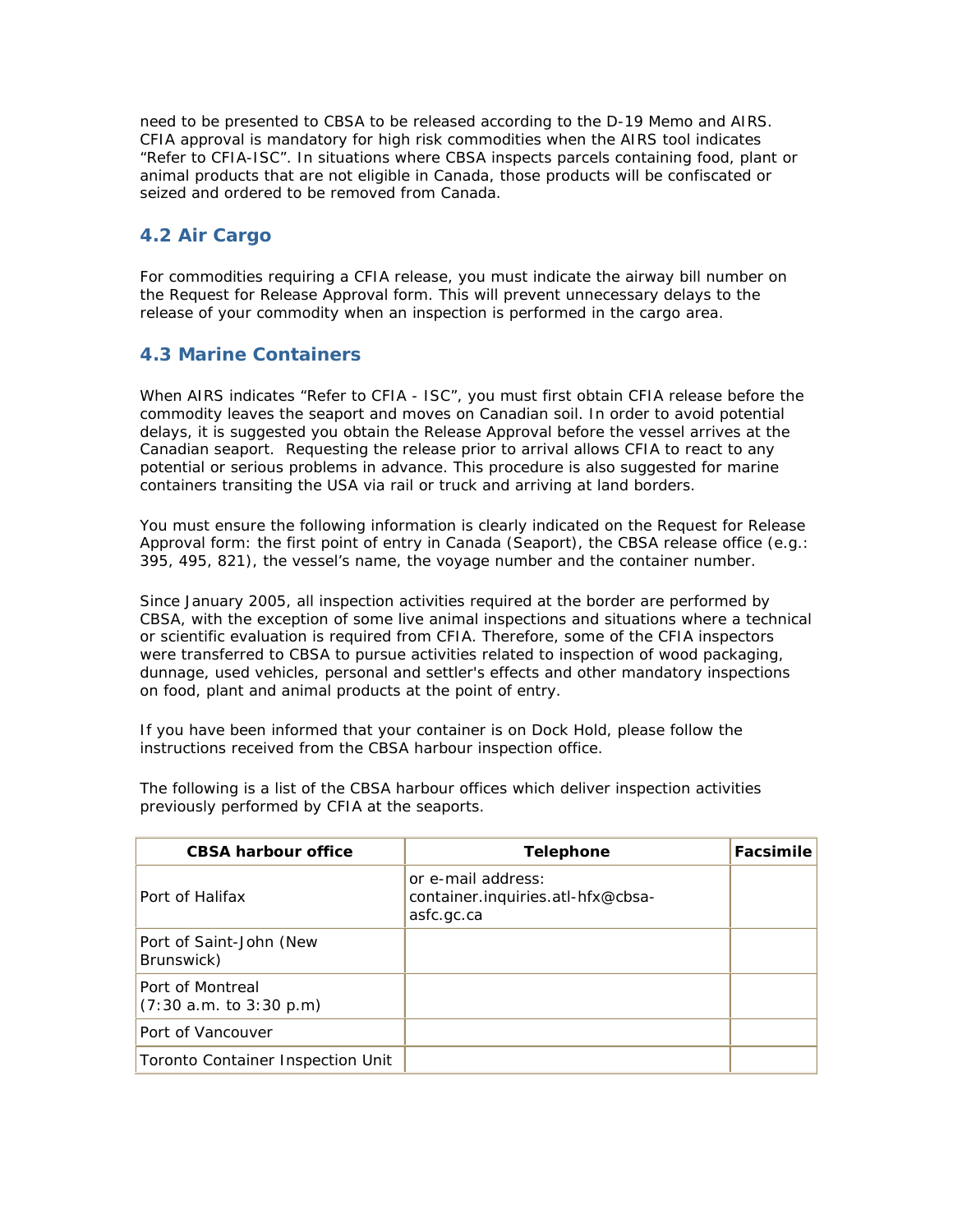need to be presented to CBSA to be released according to the D-19 Memo and AIRS. CFIA approval is mandatory for high risk commodities when the AIRS tool indicates "Refer to CFIA-ISC". In situations where CBSA inspects parcels containing food, plant or animal products that are not eligible in Canada, those products will be confiscated or seized and ordered to be removed from Canada.

## **4.2 Air Cargo**

For commodities requiring a CFIA release, you must indicate the airway bill number on the Request for Release Approval form. This will prevent unnecessary delays to the release of your commodity when an inspection is performed in the cargo area.

## **4.3 Marine Containers**

When AIRS indicates "Refer to CFIA - ISC", you must first obtain CFIA release before the commodity leaves the seaport and moves on Canadian soil. In order to avoid potential delays, it is suggested you obtain the Release Approval before the vessel arrives at the Canadian seaport. Requesting the release prior to arrival allows CFIA to react to any potential or serious problems in advance. This procedure is also suggested for marine containers transiting the USA via rail or truck and arriving at land borders.

You must ensure the following information is clearly indicated on the Request for Release Approval form: the first point of entry in Canada (Seaport), the CBSA release office (e.g.: 395, 495, 821), the vessel's name, the voyage number and the container number.

Since January 2005, all inspection activities required at the border are performed by CBSA, with the exception of some live animal inspections and situations where a technical or scientific evaluation is required from CFIA. Therefore, some of the CFIA inspectors were transferred to CBSA to pursue activities related to inspection of wood packaging, dunnage, used vehicles, personal and settler's effects and other mandatory inspections on food, plant and animal products at the point of entry.

If you have been informed that your container is on Dock Hold, please follow the instructions received from the CBSA harbour inspection office.

| <b>CBSA harbour office</b>                  | <b>Telephone</b>                                                      | Facsimile |
|---------------------------------------------|-----------------------------------------------------------------------|-----------|
| Port of Halifax                             | or e-mail address:<br>container.inquiries.atl-hfx@cbsa-<br>asfc.gc.ca |           |
| Port of Saint-John (New<br>Brunswick)       |                                                                       |           |
| Port of Montreal<br>(7:30 a.m. to 3:30 p.m) |                                                                       |           |
| Port of Vancouver                           |                                                                       |           |
| Toronto Container Inspection Unit           |                                                                       |           |

The following is a list of the CBSA harbour offices which deliver inspection activities previously performed by CFIA at the seaports.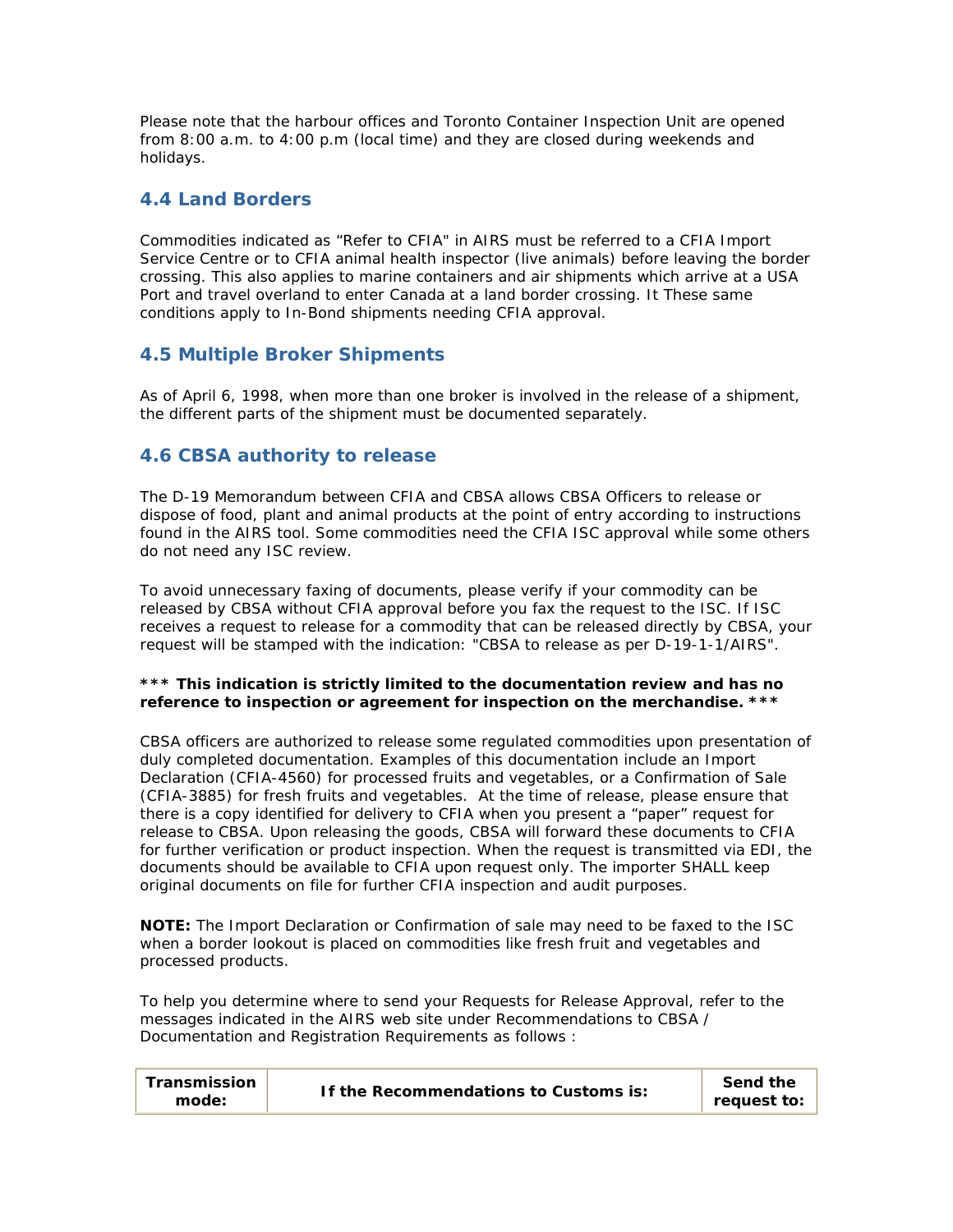Please note that the harbour offices and Toronto Container Inspection Unit are opened from 8:00 a.m. to 4:00 p.m (local time) and they are closed during weekends and holidays.

### **4.4 Land Borders**

Commodities indicated as "Refer to CFIA" in AIRS must be referred to a CFIA Import Service Centre or to CFIA animal health inspector (live animals) before leaving the border crossing. This also applies to marine containers and air shipments which arrive at a USA Port and travel overland to enter Canada at a land border crossing. It These same conditions apply to In-Bond shipments needing CFIA approval.

### **4.5 Multiple Broker Shipments**

As of April 6, 1998, when more than one broker is involved in the release of a shipment, the different parts of the shipment must be documented separately.

### **4.6 CBSA authority to release**

The D-19 Memorandum between CFIA and CBSA allows CBSA Officers to release or dispose of food, plant and animal products at the point of entry according to instructions found in the AIRS tool. Some commodities need the CFIA ISC approval while some others do not need any ISC review.

To avoid unnecessary faxing of documents, please verify if your commodity can be released by CBSA without CFIA approval before you fax the request to the ISC. If ISC receives a request to release for a commodity that can be released directly by CBSA, your request will be stamped with the indication: "CBSA to release as per D-19-1-1/AIRS".

#### **\*\*\* This indication is strictly limited to the documentation review and has no reference to inspection or agreement for inspection on the merchandise. \*\*\***

CBSA officers are authorized to release some regulated commodities upon presentation of duly completed documentation. Examples of this documentation include an Import Declaration (CFIA-4560) for processed fruits and vegetables, or a Confirmation of Sale (CFIA-3885) for fresh fruits and vegetables. At the time of release, please ensure that there is a copy identified for delivery to CFIA when you present a "paper" request for release to CBSA. Upon releasing the goods, CBSA will forward these documents to CFIA for further verification or product inspection. When the request is transmitted via EDI, the documents should be available to CFIA upon request only. The importer SHALL keep original documents on file for further CFIA inspection and audit purposes.

**NOTE:** *The Import Declaration or Confirmation of sale may need to be faxed to the ISC when a border lookout is placed on commodities like fresh fruit and vegetables and processed products.*

To help you determine where to send your Requests for Release Approval, refer to the messages indicated in the AIRS web site under Recommendations to CBSA / Documentation and Registration Requirements as follows :

| Transmission<br>mode: | If the Recommendations to Customs is: | Send the<br>request to: |
|-----------------------|---------------------------------------|-------------------------|
|-----------------------|---------------------------------------|-------------------------|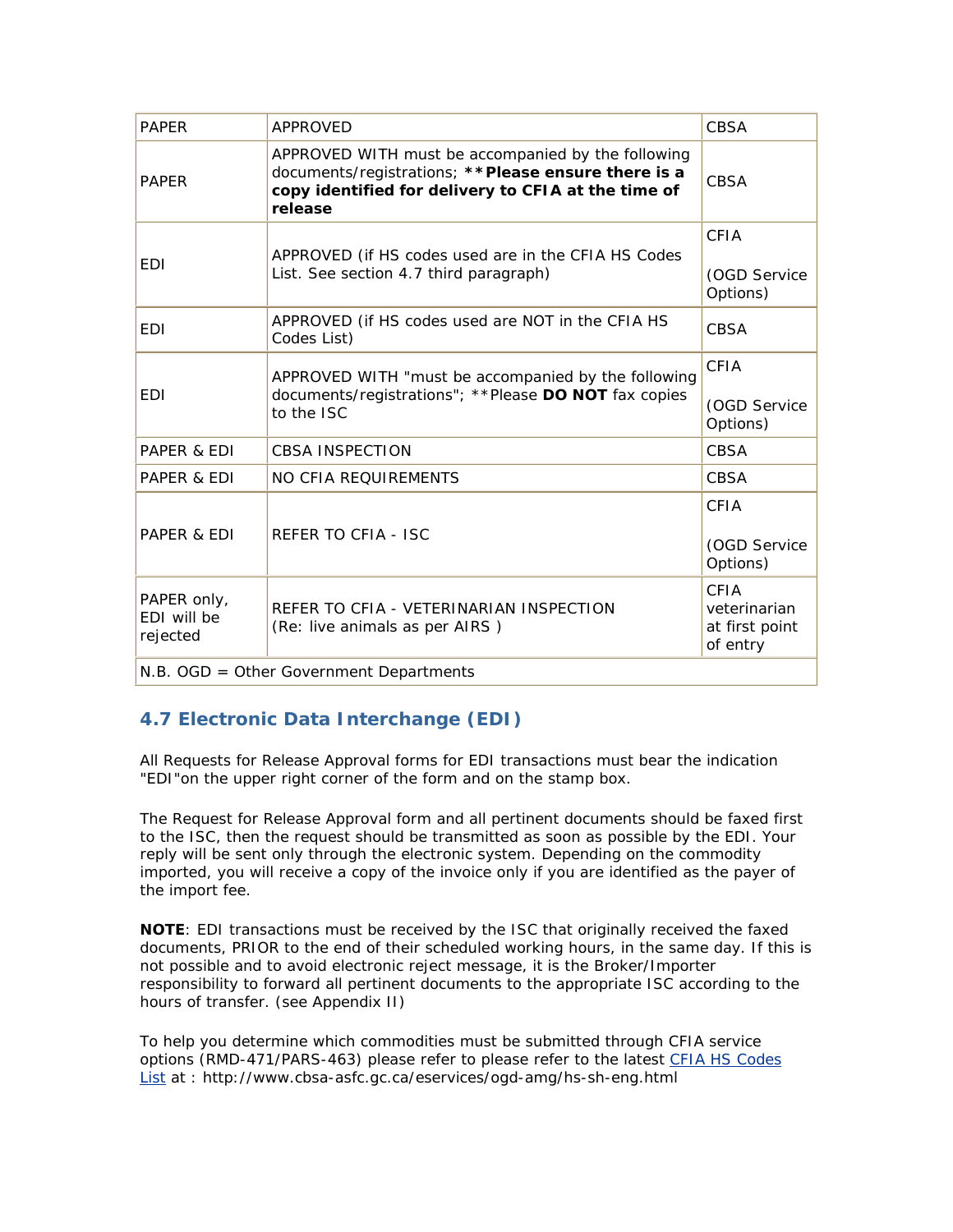| <b>PAPFR</b>                           | <b>APPROVED</b>                                                                                                                                                              | <b>CBSA</b>                                        |
|----------------------------------------|------------------------------------------------------------------------------------------------------------------------------------------------------------------------------|----------------------------------------------------|
| <b>PAPER</b>                           | APPROVED WITH must be accompanied by the following<br>documents/registrations; ** Please ensure there is a<br>copy identified for delivery to CFIA at the time of<br>release | <b>CBSA</b>                                        |
| <b>EDI</b>                             | APPROVED (if HS codes used are in the CFIA HS Codes<br>List. See section 4.7 third paragraph)                                                                                | CFIA<br>(OGD Service<br>Options)                   |
| <b>EDI</b>                             | APPROVED (if HS codes used are NOT in the CFIA HS<br>Codes List)                                                                                                             | <b>CBSA</b>                                        |
| <b>EDI</b>                             | APPROVED WITH "must be accompanied by the following<br>documents/registrations"; ** Please DO NOT fax copies<br>to the ISC                                                   | CFIA<br>(OGD Service<br>Options)                   |
| PAPER & EDI                            | <b>CBSA INSPECTION</b>                                                                                                                                                       | <b>CBSA</b>                                        |
| PAPER & EDI                            | NO CFIA REQUIREMENTS                                                                                                                                                         | CBSA                                               |
| PAPER & EDI                            | REFER TO CFIA - ISC                                                                                                                                                          | CFIA<br>(OGD Service<br>Options)                   |
| PAPER only,<br>EDI will be<br>rejected | REFER TO CFIA - VETERINARIAN INSPECTION<br>(Re: live animals as per AIRS)                                                                                                    | CFIA<br>veterinarian<br>at first point<br>of entry |
|                                        | N.B. OGD = Other Government Departments                                                                                                                                      |                                                    |

## **4.7 Electronic Data Interchange (EDI)**

All Requests for Release Approval forms for EDI transactions must bear the indication "EDI"on the upper right corner of the form and on the stamp box.

The Request for Release Approval form and all pertinent documents should be faxed first to the ISC, then the request should be transmitted as soon as possible by the EDI. Your reply will be sent only through the electronic system. Depending on the commodity imported, you will receive a copy of the invoice only if you are identified as the payer of the import fee.

**NOTE**: *EDI* transactions must be received by the ISC that originally received the faxed documents, PRIOR to the end of their scheduled working hours, in the same day. If this is not possible and to avoid electronic reject message, it is the Broker/Importer responsibility to forward all pertinent documents to the appropriate ISC according to the hours of transfer. (see Appendix II)

To help you determine which commodities must be submitted through CFIA service options (RMD-471/PARS-463) please refer to please refer to the latest [CFIA HS Codes](http://active.inspection.gc.ca/tech/extsite.asp?url=http://www.cbsa-asfc.gc.ca/eservices/ogd-amg/hs-sh-eng.html)  [List](http://active.inspection.gc.ca/tech/extsite.asp?url=http://www.cbsa-asfc.gc.ca/eservices/ogd-amg/hs-sh-eng.html) at : http://www.cbsa-asfc.gc.ca/eservices/ogd-amg/hs-sh-eng.html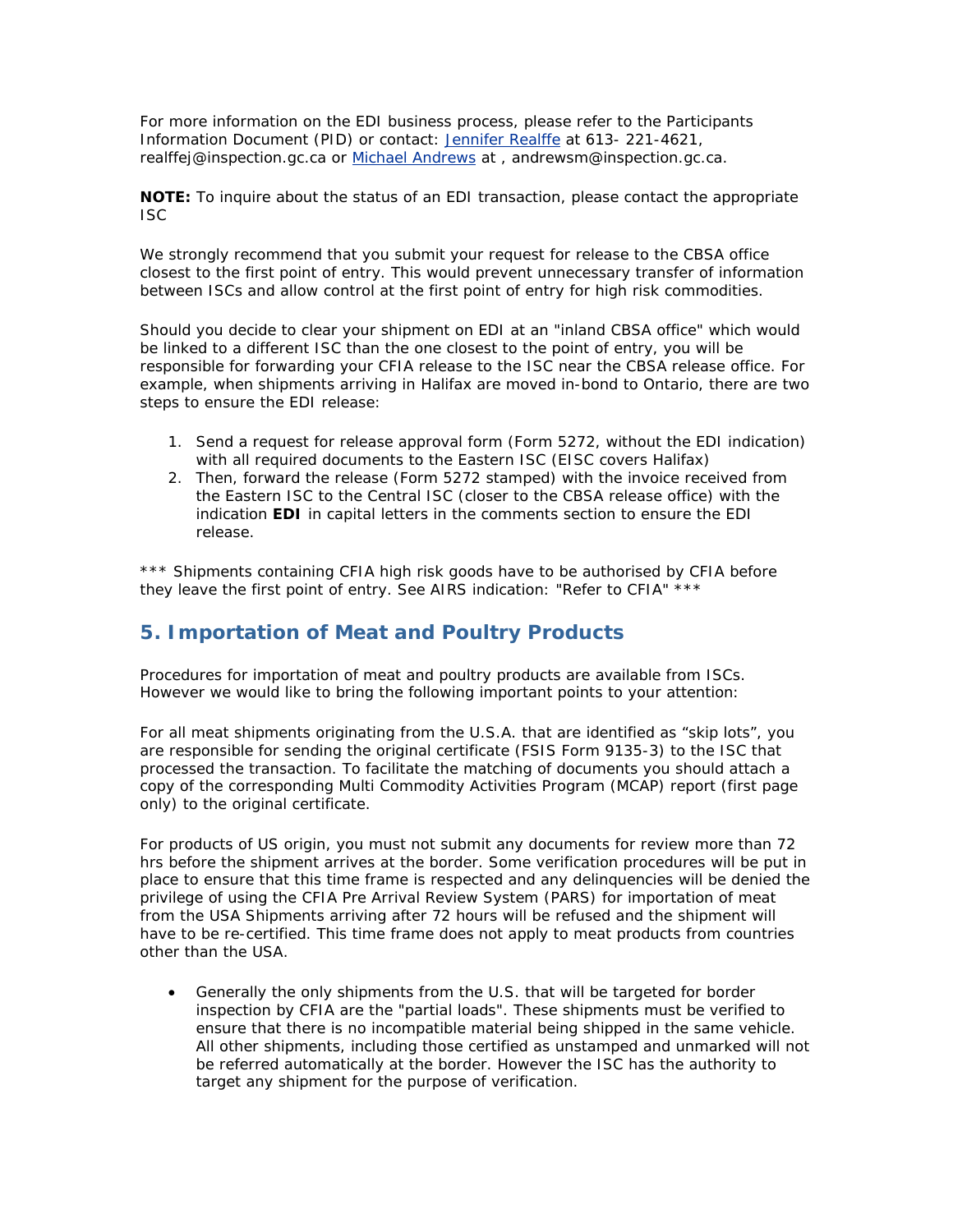For more information on the EDI business process, please refer to the Participants Information Document (PID) or contact: [Jennifer Realffe](http://www.inspection.gc.ca/english/tools/feedback/commene.shtml?realffej) at 613- 221-4621, realffej@inspection.gc.ca or [Michael Andrews](http://www.inspection.gc.ca/english/tools/feedback/commene.shtml?andrewsm) at, andrewsm@inspection.gc.ca.

#### **NOTE:** *To inquire about the status of an EDI transaction, please contact the appropriate ISC*

We strongly recommend that you submit your request for release to the CBSA office closest to the first point of entry. This would prevent unnecessary transfer of information between ISCs and allow control at the first point of entry for high risk commodities.

Should you decide to clear your shipment on EDI at an "inland CBSA office" which would be linked to a different ISC than the one closest to the point of entry, you will be responsible for forwarding your CFIA release to the ISC near the CBSA release office. For example, when shipments arriving in Halifax are moved in-bond to Ontario, there are two steps to ensure the EDI release:

- 1. Send a request for release approval form (Form 5272, without the EDI indication) with all required documents to the Eastern ISC (EISC covers Halifax)
- 2. Then, forward the release (Form 5272 stamped) with the invoice received from the Eastern ISC to the Central ISC (closer to the CBSA release office) with the indication **EDI** in capital letters in the comments section to ensure the EDI release.

\*\*\* Shipments containing CFIA high risk goods have to be authorised by CFIA before they leave the first point of entry. See AIRS indication: "Refer to CFIA" \*\*\*

## **5. Importation of Meat and Poultry Products**

Procedures for importation of meat and poultry products are available from ISCs. However we would like to bring the following important points to your attention:

For all meat shipments originating from the U.S.A. that are identified as "skip lots", you are responsible for sending the original certificate (FSIS Form 9135-3) to the ISC that processed the transaction. To facilitate the matching of documents you should attach a copy of the corresponding Multi Commodity Activities Program (MCAP) report (first page only) to the original certificate.

For products of US origin, you must not submit any documents for review more than 72 hrs before the shipment arrives at the border. Some verification procedures will be put in place to ensure that this time frame is respected and any delinquencies will be denied the privilege of using the CFIA Pre Arrival Review System (PARS) for importation of meat from the USA Shipments arriving after 72 hours will be refused and the shipment will have to be re-certified. This time frame does not apply to meat products from countries other than the USA.

• Generally the only shipments from the U.S. that will be targeted for border inspection by CFIA are the "partial loads". These shipments must be verified to ensure that there is no incompatible material being shipped in the same vehicle. All other shipments, including those certified as unstamped and unmarked will not be referred automatically at the border. However the ISC has the authority to target any shipment for the purpose of verification.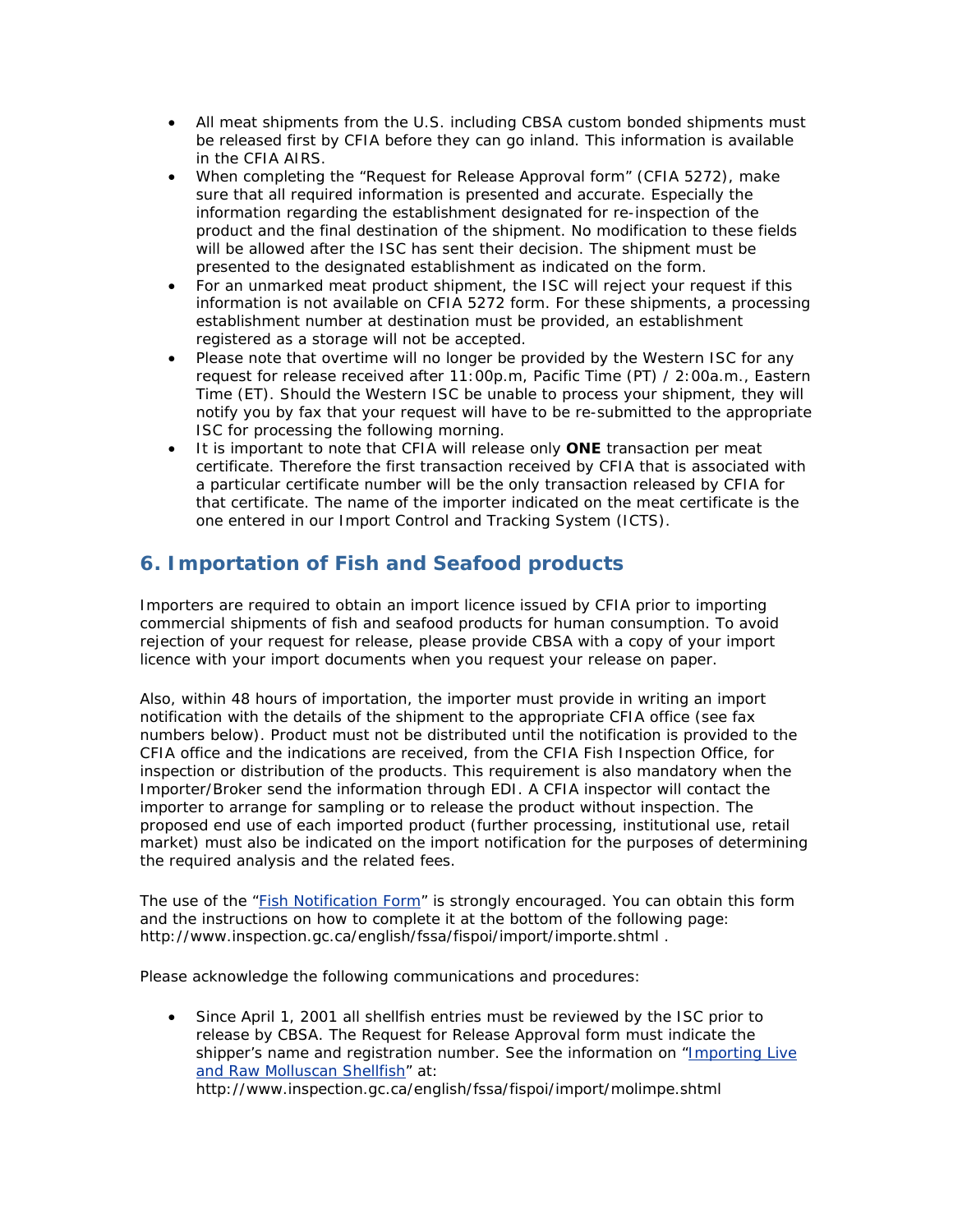- All meat shipments from the U.S. including CBSA custom bonded shipments must be released first by CFIA before they can go inland. This information is available in the CFIA AIRS.
- When completing the "Request for Release Approval form" (CFIA 5272), make sure that all required information is presented and accurate. Especially the information regarding the establishment designated for re-inspection of the product and the final destination of the shipment. No modification to these fields will be allowed after the ISC has sent their decision. The shipment must be presented to the designated establishment as indicated on the form.
- For an unmarked meat product shipment, the ISC will reject your request if this information is not available on CFIA 5272 form. For these shipments, a processing establishment number at destination must be provided, an establishment registered as a storage will not be accepted.
- Please note that overtime will no longer be provided by the Western ISC for any request for release received after 11:00p.m, Pacific Time (PT) / 2:00a.m., Eastern Time (ET). Should the Western ISC be unable to process your shipment, they will notify you by fax that your request will have to be re-submitted to the appropriate ISC for processing the following morning.
- It is important to note that CFIA will release only **ONE** transaction per meat certificate. Therefore the first transaction received by CFIA that is associated with a particular certificate number will be the only transaction released by CFIA for that certificate. The name of the importer indicated on the meat certificate is the one entered in our Import Control and Tracking System (ICTS).

## **6. Importation of Fish and Seafood products**

Importers are required to obtain an import licence issued by CFIA prior to importing commercial shipments of fish and seafood products for human consumption. To avoid rejection of your request for release, please provide CBSA with a copy of your import licence with your import documents when you request your release on paper.

Also, within 48 hours of importation, the importer must provide in writing an import notification with the details of the shipment to the appropriate CFIA office (see fax numbers below). Product must not be distributed until the notification is provided to the CFIA office and the indications are received, from the CFIA Fish Inspection Office, for inspection or distribution of the products. This requirement is also mandatory when the Importer/Broker send the information through EDI. A CFIA inspector will contact the importer to arrange for sampling or to release the product without inspection. The proposed end use of each imported product (further processing, institutional use, retail market) must also be indicated on the import notification for the purposes of determining the required analysis and the related fees.

The use of the ["Fish Notification Form"](http://www.inspection.gc.ca/english/fssa/fispoi/import/importe.shtml) is strongly encouraged. You can obtain this form and the instructions on how to complete it at the bottom of the following page: http://www.inspection.gc.ca/english/fssa/fispoi/import/importe.shtml .

Please acknowledge the following communications and procedures:

• Since April 1, 2001 all shellfish entries must be reviewed by the ISC prior to release by CBSA. The Request for Release Approval form must indicate the shipper's name and registration number. See the information on "Importing Live [and Raw Molluscan Shellfish"](http://www.inspection.gc.ca/english/fssa/fispoi/import/molimpe.shtml) at: http://www.inspection.gc.ca/english/fssa/fispoi/import/molimpe.shtml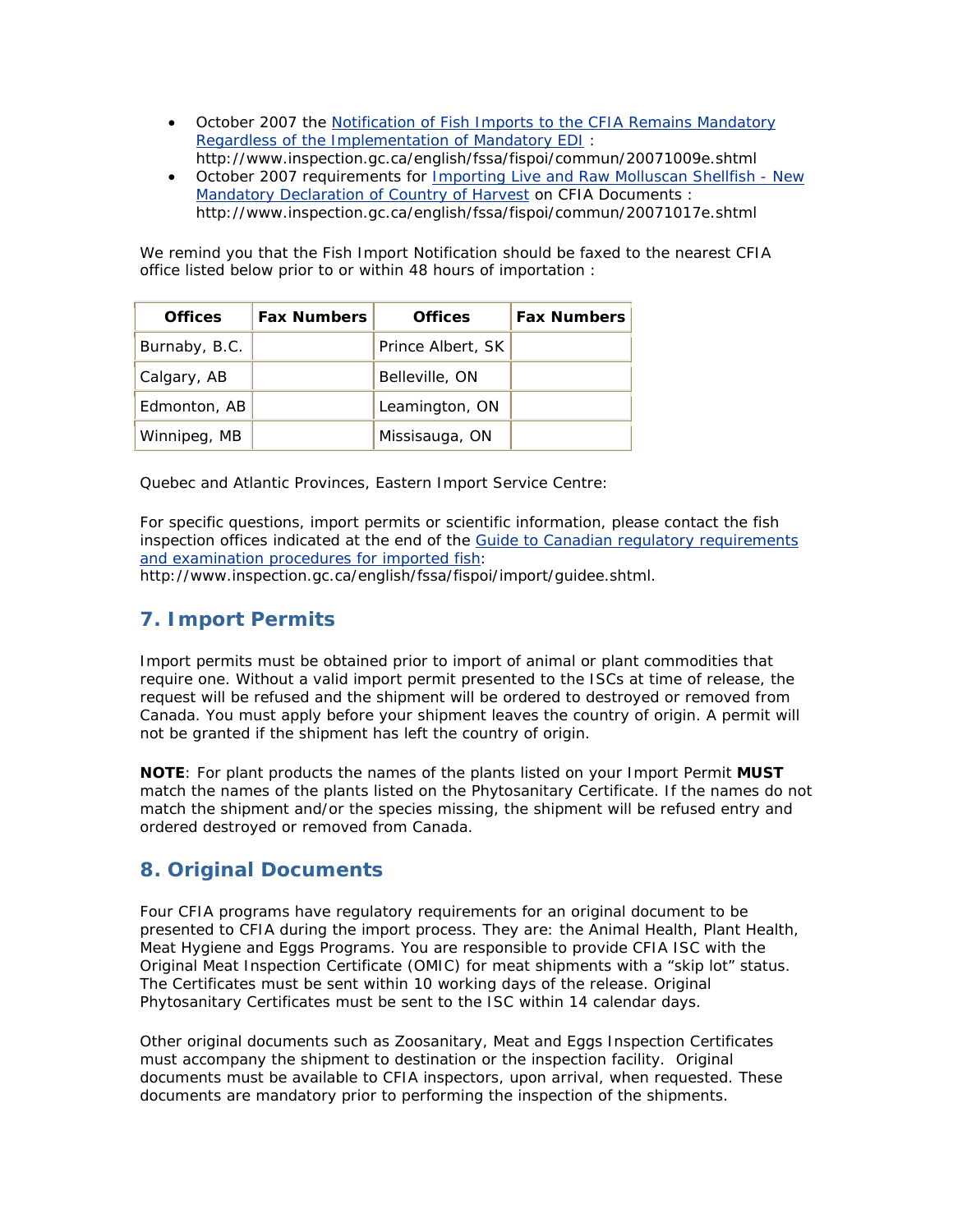- October 2007 the [Notification of Fish Imports to the CFIA Remains Mandatory](http://www.inspection.gc.ca/english/fssa/fispoi/commun/20071009e.shtml)  [Regardless of the Implementation of Mandatory EDI](http://www.inspection.gc.ca/english/fssa/fispoi/commun/20071009e.shtml) : http://www.inspection.gc.ca/english/fssa/fispoi/commun/20071009e.shtml
- October 2007 requirements for [Importing Live and Raw Molluscan Shellfish New](http://www.inspection.gc.ca/english/fssa/fispoi/commun/20071017e.shtml)  [Mandatory Declaration of Country of Harvest](http://www.inspection.gc.ca/english/fssa/fispoi/commun/20071017e.shtml) on CFIA Documents : http://www.inspection.gc.ca/english/fssa/fispoi/commun/20071017e.shtml

We remind you that the Fish Import Notification should be faxed to the nearest CFIA office listed below prior to or within 48 hours of importation :

| <b>Offices</b> | <b>Fax Numbers</b> | <b>Offices</b>    | <b>Fax Numbers</b> |
|----------------|--------------------|-------------------|--------------------|
| Burnaby, B.C.  |                    | Prince Albert, SK |                    |
| Calgary, AB    |                    | Belleville, ON    |                    |
| Edmonton, AB   |                    | Leamington, ON    |                    |
| Winnipeg, MB   |                    | Missisauga, ON    |                    |

Quebec and Atlantic Provinces, Eastern Import Service Centre:

For specific questions, import permits or scientific information, please contact the fish inspection offices indicated at the end of the [Guide to Canadian regulatory requirements](http://www.inspection.gc.ca/english/fssa/fispoi/import/guidee.shtml)  [and examination procedures for imported fish:](http://www.inspection.gc.ca/english/fssa/fispoi/import/guidee.shtml)

http://www.inspection.gc.ca/english/fssa/fispoi/import/guidee.shtml.

## **7. Import Permits**

Import permits must be obtained prior to import of animal or plant commodities that require one. Without a valid import permit presented to the ISCs at time of release, the request will be refused and the shipment will be ordered to destroyed or removed from Canada. You must apply before your shipment leaves the country of origin. A permit will not be granted if the shipment has left the country of origin.

**NOTE**: *For plant products the names of the plants listed on your Import Permit MUST match the names of the plants listed on the Phytosanitary Certificate. If the names do not match the shipment and/or the species missing, the shipment will be refused entry and ordered destroyed or removed from Canada.*

## **8. Original Documents**

Four CFIA programs have regulatory requirements for an original document to be presented to CFIA during the import process. They are: the Animal Health, Plant Health, Meat Hygiene and Eggs Programs. You are responsible to provide CFIA ISC with the Original Meat Inspection Certificate (OMIC) for meat shipments with a "skip lot" status. The Certificates must be sent within 10 working days of the release. Original Phytosanitary Certificates must be sent to the ISC within 14 calendar days.

Other original documents such as Zoosanitary, Meat and Eggs Inspection Certificates must accompany the shipment to destination or the inspection facility. Original documents must be available to CFIA inspectors, upon arrival, when requested. These documents are mandatory prior to performing the inspection of the shipments.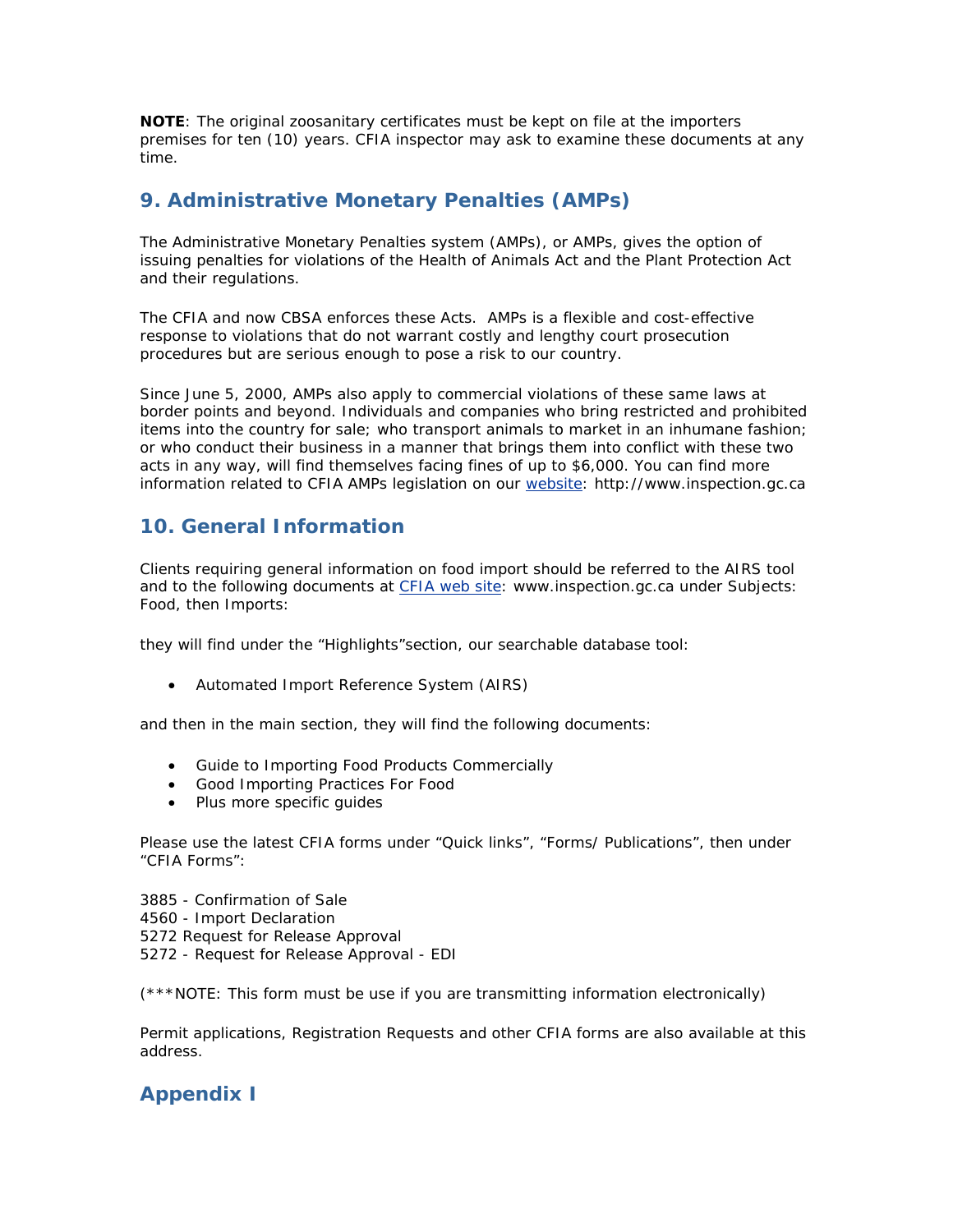**NOTE**: *The original zoosanitary certificates must be kept on file at the importers premises for ten (10) years. CFIA inspector may ask to examine these documents at any time.*

## **9. Administrative Monetary Penalties (AMPs)**

The Administrative Monetary Penalties system (AMPs), or AMPs, gives the option of issuing penalties for violations of the *Health of Animals Act* and the *Plant Protection Act* and their regulations.

The CFIA and now CBSA enforces these Acts. AMPs is a flexible and cost-effective response to violations that do not warrant costly and lengthy court prosecution procedures but are serious enough to pose a risk to our country.

Since June 5, 2000, AMPs also apply to commercial violations of these same laws at border points and beyond. Individuals and companies who bring restricted and prohibited items into the country for sale; who transport animals to market in an inhumane fashion; or who conduct their business in a manner that brings them into conflict with these two acts in any way, will find themselves facing fines of up to \$6,000. You can find more information related to CFIA AMPs legislation on our [website](http://www.inspection.gc.ca/english/reg/rege.shtml): http://www.inspection.gc.ca

## **10. General Information**

Clients requiring general information on food import should be referred to the AIRS tool and to the following documents at [CFIA web site](http://www.inspection.gc.ca/english/toce.shtml): www.inspection.gc.ca under Subjects: Food, then Imports:

they will find under the "Highlights"section, our searchable database tool:

• Automated Import Reference System (AIRS)

and then in the main section, they will find the following documents:

- Guide to Importing Food Products Commercially
- Good Importing Practices For Food
- Plus more specific guides

Please use the latest CFIA forms under "Quick links", "Forms/ Publications", then under "CFIA Forms":

- 3885 Confirmation of Sale
- 4560 Import Declaration
- 5272 Request for Release Approval
- 5272 Request for Release Approval EDI

(\*\*\*NOTE: This form must be use if you are transmitting information electronically)

Permit applications, Registration Requests and other CFIA forms are also available at this address.

# **Appendix I**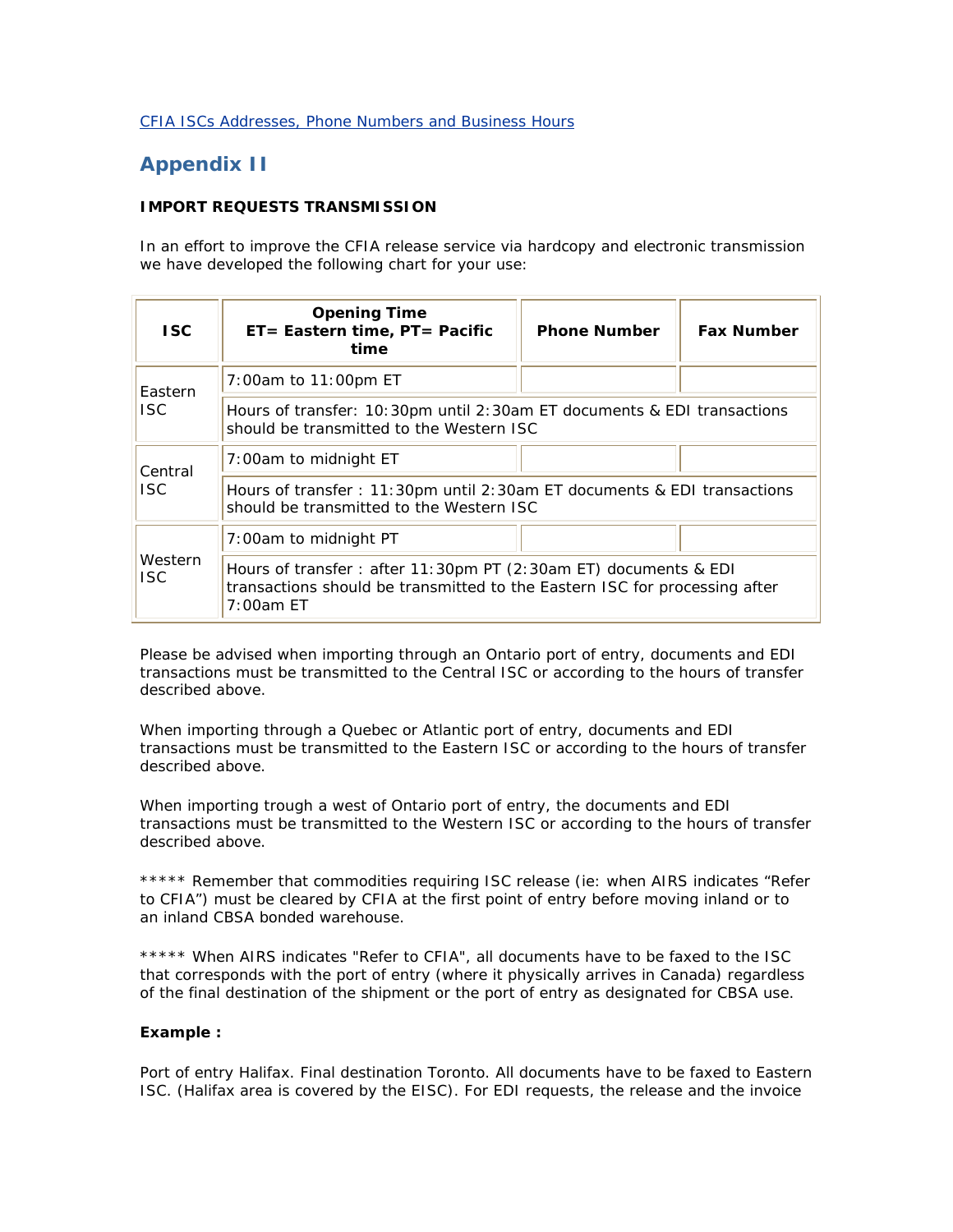#### [CFIA ISCs Addresses, Phone Numbers and Business Hours](http://www.inspection.gc.ca/english/imp/importe.shtml)

## **Appendix II**

#### **IMPORT REQUESTS TRANSMISSION**

In an effort to improve the CFIA release service via hardcopy and electronic transmission we have developed the following chart for your use:

| ISC.                                                                                                                        | <b>Opening Time</b><br>ET= Eastern time, PT= Pacific<br>time                                                                                               | <b>Phone Number</b> | <b>Fax Number</b> |  |
|-----------------------------------------------------------------------------------------------------------------------------|------------------------------------------------------------------------------------------------------------------------------------------------------------|---------------------|-------------------|--|
| 7:00am to 11:00pm ET<br>Eastern                                                                                             |                                                                                                                                                            |                     |                   |  |
| ISC.<br>Hours of transfer: 10:30pm until 2:30am ET documents & EDI transactions<br>should be transmitted to the Western ISC |                                                                                                                                                            |                     |                   |  |
| Central                                                                                                                     | 7:00am to midnight ET                                                                                                                                      |                     |                   |  |
| ISC.                                                                                                                        | Hours of transfer: 11:30pm until 2:30am ET documents & EDI transactions<br>should be transmitted to the Western ISC                                        |                     |                   |  |
|                                                                                                                             | 7:00am to midnight PT                                                                                                                                      |                     |                   |  |
| Western<br>ISC.                                                                                                             | Hours of transfer: after 11:30pm PT (2:30am ET) documents & EDI<br>transactions should be transmitted to the Eastern ISC for processing after<br>7:00am ET |                     |                   |  |

Please be advised when importing through an Ontario port of entry, documents and EDI transactions must be transmitted to the Central ISC or according to the hours of transfer described above.

When importing through a Quebec or Atlantic port of entry, documents and EDI transactions must be transmitted to the Eastern ISC or according to the hours of transfer described above.

When importing trough a west of Ontario port of entry, the documents and EDI transactions must be transmitted to the Western ISC or according to the hours of transfer described above.

\*\*\*\*\* Remember that commodities requiring ISC release (ie: when AIRS indicates "Refer to CFIA") must be cleared by CFIA at the first point of entry before moving inland or to an inland CBSA bonded warehouse.

\*\*\*\*\* When AIRS indicates "Refer to CFIA", all documents have to be faxed to the ISC that corresponds with the port of entry (where it physically arrives in Canada) regardless of the final destination of the shipment or the port of entry as designated for CBSA use.

#### **Example :**

Port of entry Halifax. Final destination Toronto. All documents have to be faxed to Eastern ISC. (Halifax area is covered by the EISC). For EDI requests, the release and the invoice